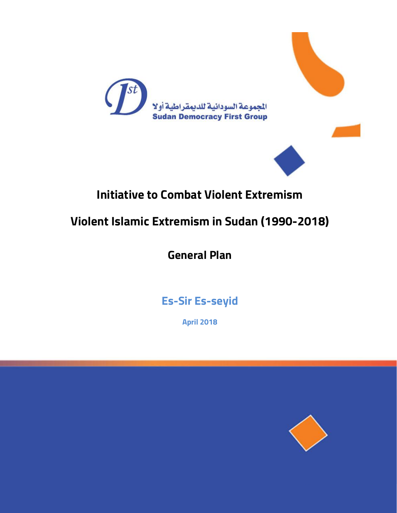



# **Initiative to Combat Violent Extremism**

# **Violent Islamic Extremism in Sudan (1990-2018)**

**General Plan**

**Es-Sir Es-seyid**

**April 2018**

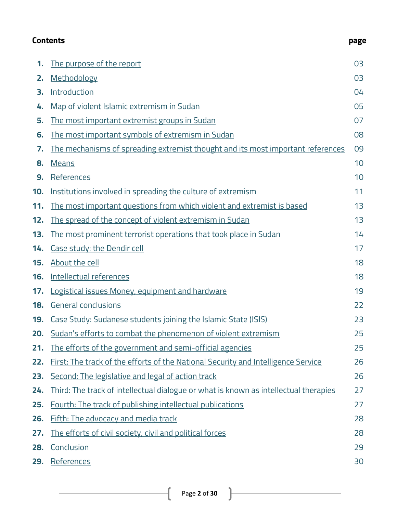#### <span id="page-1-0"></span>**Contents page**

| .,<br>۰.<br>×<br>× |  |
|--------------------|--|
|--------------------|--|

| 1.  | The purpose of the report                                                            | 03 |
|-----|--------------------------------------------------------------------------------------|----|
| 2.  | Methodology                                                                          | 03 |
| 3.  | <b>Introduction</b>                                                                  | 04 |
| 4.  | Map of violent Islamic extremism in Sudan                                            | 05 |
| 5.  | The most important extremist groups in Sudan                                         | 07 |
| 6.  | The most important symbols of extremism in Sudan                                     | 08 |
| 7.  | The mechanisms of spreading extremist thought and its most important references      | 09 |
| 8.  | <b>Means</b>                                                                         | 10 |
| 9.  | References                                                                           | 10 |
| 10. | Institutions involved in spreading the culture of extremism                          | 11 |
| 11. | <u>The most important questions from which violent and extremist is based</u>        | 13 |
| 12. | The spread of the concept of violent extremism in Sudan                              | 13 |
| 13. | The most prominent terrorist operations that took place in Sudan                     | 14 |
| 14. | Case study: the Dendir cell                                                          | 17 |
| 15. | About the cell                                                                       | 18 |
| 16. | Intellectual references                                                              | 18 |
| 17. | Logistical issues Money, equipment and hardware                                      | 19 |
| 18. | General conclusions                                                                  | 22 |
| 19. | Case Study: Sudanese students joining the Islamic State (ISIS)                       | 23 |
| 20. | Sudan's efforts to combat the phenomenon of violent extremism                        | 25 |
| 21. | <u>The efforts of the government and semi-official agencies</u>                      | 25 |
| 22. | First: The track of the efforts of the National Security and Intelligence Service    | 26 |
| 23. | Second: The legislative and legal of action track                                    | 26 |
| 24. | Third: The track of intellectual dialogue or what is known as intellectual therapies | 27 |
| 25. | Fourth: The track of publishing intellectual publications                            | 27 |
| 26. | Fifth: The advocacy and media track                                                  | 28 |
| 27. | The efforts of civil society, civil and political forces                             | 28 |
| 28. | Conclusion                                                                           | 29 |
| 29. | References                                                                           | 30 |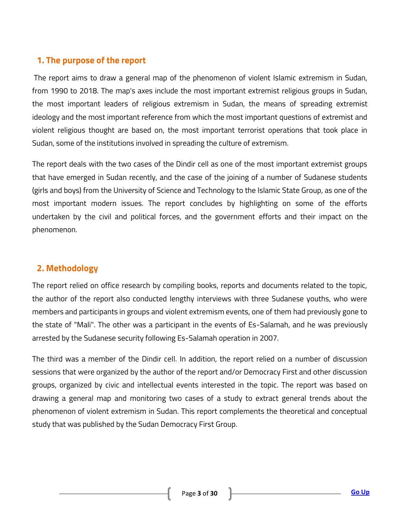# <span id="page-2-0"></span>**1. The purpose of the report**

The report aims to draw a general map of the phenomenon of violent Islamic extremism in Sudan, from 1990 to 2018. The map's axes include the most important extremist religious groups in Sudan, the most important leaders of religious extremism in Sudan, the means of spreading extremist ideology and the most important reference from which the most important questions of extremist and violent religious thought are based on, the most important terrorist operations that took place in Sudan, some of the institutions involved in spreading the culture of extremism.

The report deals with the two cases of the Dindir cell as one of the most important extremist groups that have emerged in Sudan recently, and the case of the joining of a number of Sudanese students (girls and boys) from the University of Science and Technology to the Islamic State Group, as one of the most important modern issues. The report concludes by highlighting on some of the efforts undertaken by the civil and political forces, and the government efforts and their impact on the phenomenon.

# <span id="page-2-1"></span>**2. Methodology**

The report relied on office research by compiling books, reports and documents related to the topic, the author of the report also conducted lengthy interviews with three Sudanese youths, who were members and participants in groups and violent extremism events, one of them had previously gone to the state of "Mali". The other was a participant in the events of Es-Salamah, and he was previously arrested by the Sudanese security following Es-Salamah operation in 2007.

The third was a member of the Dindir cell. In addition, the report relied on a number of discussion sessions that were organized by the author of the report and/or Democracy First and other discussion groups, organized by civic and intellectual events interested in the topic. The report was based on drawing a general map and monitoring two cases of a study to extract general trends about the phenomenon of violent extremism in Sudan. This report complements the theoretical and conceptual study that was published by the Sudan Democracy First Group.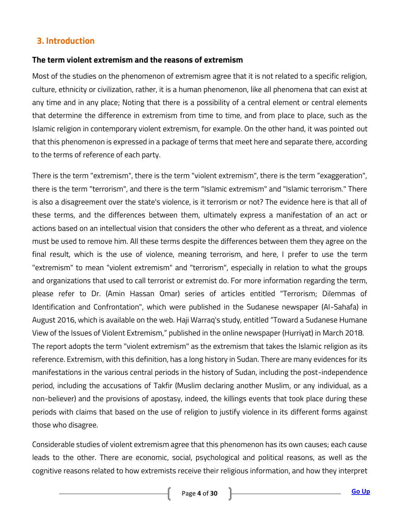# <span id="page-3-0"></span>**3. Introduction**

#### **The term violent extremism and the reasons of extremism**

Most of the studies on the phenomenon of extremism agree that it is not related to a specific religion, culture, ethnicity or civilization, rather, it is a human phenomenon, like all phenomena that can exist at any time and in any place; Noting that there is a possibility of a central element or central elements that determine the difference in extremism from time to time, and from place to place, such as the Islamic religion in contemporary violent extremism, for example. On the other hand, it was pointed out that this phenomenon is expressed in a package of terms that meet here and separate there, according to the terms of reference of each party.

There is the term "extremism", there is the term "violent extremism", there is the term "exaggeration", there is the term "terrorism", and there is the term "Islamic extremism" and "Islamic terrorism." There is also a disagreement over the state's violence, is it terrorism or not? The evidence here is that all of these terms, and the differences between them, ultimately express a manifestation of an act or actions based on an intellectual vision that considers the other who deferent as a threat, and violence must be used to remove him. All these terms despite the differences between them they agree on the final result, which is the use of violence, meaning terrorism, and here, I prefer to use the term "extremism" to mean "violent extremism" and "terrorism", especially in relation to what the groups and organizations that used to call terrorist or extremist do. For more information regarding the term, please refer to Dr. (Amin Hassan Omar) series of articles entitled "Terrorism; Dilemmas of Identification and Confrontation", which were published in the Sudanese newspaper (Al-Sahafa) in August 2016, which is available on the web. Haji Warraq's study, entitled "Toward a Sudanese Humane View of the Issues of Violent Extremism," published in the online newspaper (Hurriyat) in March 2018. The report adopts the term "violent extremism" as the extremism that takes the Islamic religion as its reference. Extremism, with this definition, has a long history in Sudan. There are many evidences for its manifestations in the various central periods in the history of Sudan, including the post-independence period, including the accusations of Takfir (Muslim declaring another Muslim, or any individual, as a non-believer) and the provisions of apostasy, indeed, the killings events that took place during these periods with claims that based on the use of religion to justify violence in its different forms against those who disagree.

Considerable studies of violent extremism agree that this phenomenon has its own causes; each cause leads to the other. There are economic, social, psychological and political reasons, as well as the cognitive reasons related to how extremists receive their religious information, and how they interpret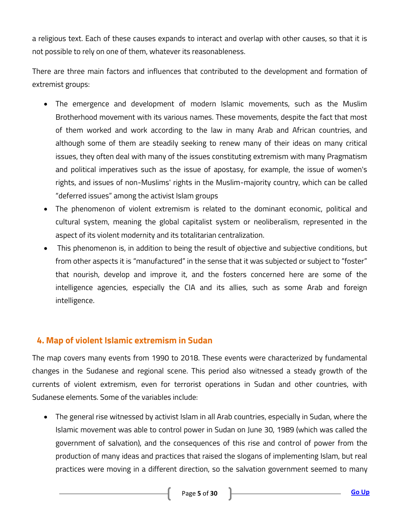a religious text. Each of these causes expands to interact and overlap with other causes, so that it is not possible to rely on one of them, whatever its reasonableness.

There are three main factors and influences that contributed to the development and formation of extremist groups:

- The emergence and development of modern Islamic movements, such as the Muslim Brotherhood movement with its various names. These movements, despite the fact that most of them worked and work according to the law in many Arab and African countries, and although some of them are steadily seeking to renew many of their ideas on many critical issues, they often deal with many of the issues constituting extremism with many Pragmatism and political imperatives such as the issue of apostasy, for example, the issue of women's rights, and issues of non-Muslims' rights in the Muslim-majority country, which can be called "deferred issues" among the activist Islam groups
- The phenomenon of violent extremism is related to the dominant economic, political and cultural system, meaning the global capitalist system or neoliberalism, represented in the aspect of its violent modernity and its totalitarian centralization.
- This phenomenon is, in addition to being the result of objective and subjective conditions, but from other aspects it is "manufactured" in the sense that it was subjected or subject to "foster" that nourish, develop and improve it, and the fosters concerned here are some of the intelligence agencies, especially the CIA and its allies, such as some Arab and foreign intelligence.

# <span id="page-4-0"></span>**4. Map of violent Islamic extremism in Sudan**

The map covers many events from 1990 to 2018. These events were characterized by fundamental changes in the Sudanese and regional scene. This period also witnessed a steady growth of the currents of violent extremism, even for terrorist operations in Sudan and other countries, with Sudanese elements. Some of the variables include:

 The general rise witnessed by activist Islam in all Arab countries, especially in Sudan, where the Islamic movement was able to control power in Sudan on June 30, 1989 (which was called the government of salvation), and the consequences of this rise and control of power from the production of many ideas and practices that raised the slogans of implementing Islam, but real practices were moving in a different direction, so the salvation government seemed to many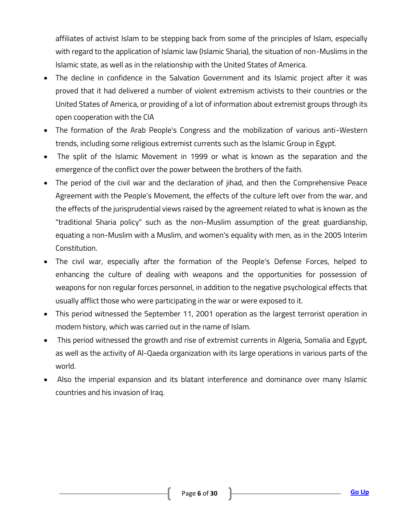affiliates of activist Islam to be stepping back from some of the principles of Islam, especially with regard to the application of Islamic law (Islamic Sharia), the situation of non-Muslims in the Islamic state, as well as in the relationship with the United States of America.

- The decline in confidence in the Salvation Government and its Islamic project after it was proved that it had delivered a number of violent extremism activists to their countries or the United States of America, or providing of a lot of information about extremist groups through its open cooperation with the CIA
- The formation of the Arab People's Congress and the mobilization of various anti-Western trends, including some religious extremist currents such as the Islamic Group in Egypt.
- The split of the Islamic Movement in 1999 or what is known as the separation and the emergence of the conflict over the power between the brothers of the faith.
- The period of the civil war and the declaration of jihad, and then the Comprehensive Peace Agreement with the People's Movement, the effects of the culture left over from the war, and the effects of the jurisprudential views raised by the agreement related to what is known as the "traditional Sharia policy" such as the non-Muslim assumption of the great guardianship, equating a non-Muslim with a Muslim, and women's equality with men, as in the 2005 Interim Constitution.
- The civil war, especially after the formation of the People's Defense Forces, helped to enhancing the culture of dealing with weapons and the opportunities for possession of weapons for non regular forces personnel, in addition to the negative psychological effects that usually afflict those who were participating in the war or were exposed to it.
- This period witnessed the September 11, 2001 operation as the largest terrorist operation in modern history, which was carried out in the name of Islam.
- This period witnessed the growth and rise of extremist currents in Algeria, Somalia and Egypt, as well as the activity of Al-Qaeda organization with its large operations in various parts of the world.
- Also the imperial expansion and its blatant interference and dominance over many Islamic countries and his invasion of Iraq.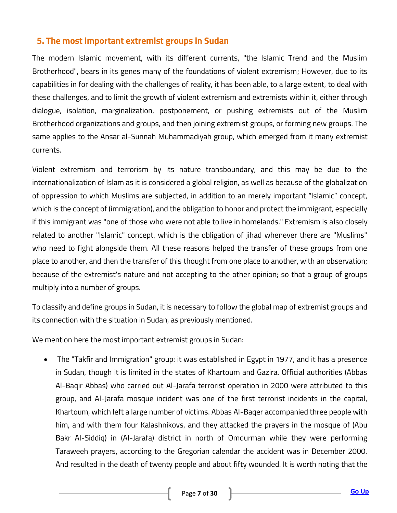# <span id="page-6-0"></span>**5. The most important extremist groups in Sudan**

The modern Islamic movement, with its different currents, "the Islamic Trend and the Muslim Brotherhood", bears in its genes many of the foundations of violent extremism; However, due to its capabilities in for dealing with the challenges of reality, it has been able, to a large extent, to deal with these challenges, and to limit the growth of violent extremism and extremists within it, either through dialogue, isolation, marginalization, postponement, or pushing extremists out of the Muslim Brotherhood organizations and groups, and then joining extremist groups, or forming new groups. The same applies to the Ansar al-Sunnah Muhammadiyah group, which emerged from it many extremist currents.

Violent extremism and terrorism by its nature transboundary, and this may be due to the internationalization of Islam as it is considered a global religion, as well as because of the globalization of oppression to which Muslims are subjected, in addition to an merely important "Islamic" concept, which is the concept of (immigration), and the obligation to honor and protect the immigrant, especially if this immigrant was "one of those who were not able to live in homelands." Extremism is also closely related to another "Islamic" concept, which is the obligation of jihad whenever there are "Muslims" who need to fight alongside them. All these reasons helped the transfer of these groups from one place to another, and then the transfer of this thought from one place to another, with an observation; because of the extremist's nature and not accepting to the other opinion; so that a group of groups multiply into a number of groups.

To classify and define groups in Sudan, it is necessary to follow the global map of extremist groups and its connection with the situation in Sudan, as previously mentioned.

We mention here the most important extremist groups in Sudan:

 The "Takfir and Immigration" group: it was established in Egypt in 1977, and it has a presence in Sudan, though it is limited in the states of Khartoum and Gazira. Official authorities (Abbas Al-Baqir Abbas) who carried out Al-Jarafa terrorist operation in 2000 were attributed to this group, and Al-Jarafa mosque incident was one of the first terrorist incidents in the capital, Khartoum, which left a large number of victims. Abbas Al-Baqer accompanied three people with him, and with them four Kalashnikovs, and they attacked the prayers in the mosque of (Abu Bakr Al-Siddiq) in (Al-Jarafa) district in north of Omdurman while they were performing Taraweeh prayers, according to the Gregorian calendar the accident was in December 2000. And resulted in the death of twenty people and about fifty wounded. It is worth noting that the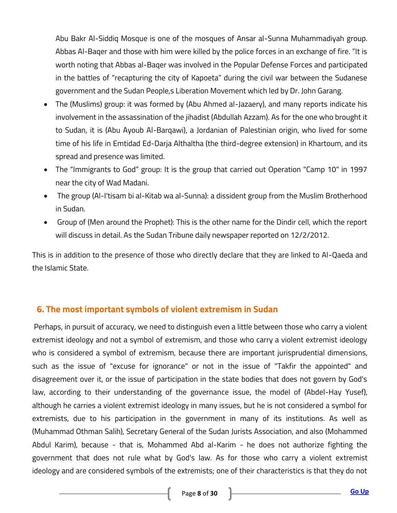Abu Bakr Al-Siddiq Mosque is one of the mosques of Ansar al-Sunna Muhammadiyah group. Abbas Al-Baqer and those with him were killed by the police forces in an exchange of fire. "It is worth noting that Abbas al-Baqer was involved in the Popular Defense Forces and participated in the battles of "recapturing the city of Kapoeta" during the civil war between the Sudanese government and the Sudan People,s Liberation Movement which led by Dr. John Garang.

- The (Muslims) group: it was formed by (Abu Ahmed al-Jazaery), and many reports indicate his involvement in the assassination of the jihadist (Abdullah Azzam). As for the one who brought it to Sudan, it is (Abu Ayoub Al-Barqawi), a Jordanian of Palestinian origin, who lived for some time of his life in Emtidad Ed-Darja Althaltha (the third-degree extension) in Khartoum, and its spread and presence was limited.
- The "Immigrants to God" group: It is the group that carried out Operation "Camp 10" in 1997 near the city of Wad Madani.
- The group (Al-I'tisam bi al-Kitab wa al-Sunna): a dissident group from the Muslim Brotherhood in Sudan.
- Group of (Men around the Prophet): This is the other name for the Dindir cell, which the report will discuss in detail. As the Sudan Tribune daily newspaper reported on 12/2/2012.

This is in addition to the presence of those who directly declare that they are linked to Al-Qaeda and the Islamic State.

# <span id="page-7-0"></span>**6. The most important symbols of violent extremism in Sudan**

Perhaps, in pursuit of accuracy, we need to distinguish even a little between those who carry a violent extremist ideology and not a symbol of extremism, and those who carry a violent extremist ideology who is considered a symbol of extremism, because there are important jurisprudential dimensions, such as the issue of "excuse for ignorance" or not in the issue of "Takfir the appointed" and disagreement over it, or the issue of participation in the state bodies that does not govern by God's law, according to their understanding of the governance issue, the model of (Abdel-Hay Yusef), although he carries a violent extremist ideology in many issues, but he is not considered a symbol for extremists, due to his participation in the government in many of its institutions. As well as (Muhammad Othman Salih), Secretary General of the Sudan Jurists Association, and also (Mohammed Abdul Karim), because - that is, Mohammed Abd al-Karim - he does not authorize fighting the government that does not rule what by God's law. As for those who carry a violent extremist ideology and are considered symbols of the extremists; one of their characteristics is that they do not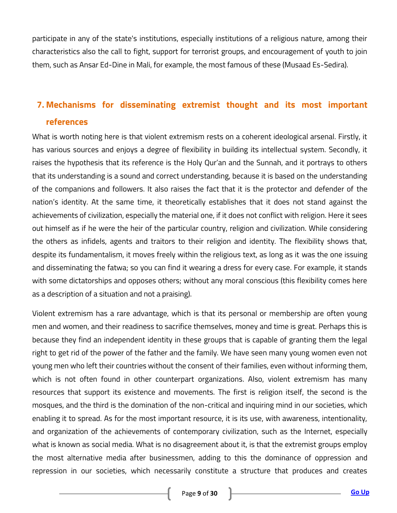participate in any of the state's institutions, especially institutions of a religious nature, among their characteristics also the call to fight, support for terrorist groups, and encouragement of youth to join them, such as Ansar Ed-Dine in Mali, for example, the most famous of these (Musaad Es-Sedira).

# <span id="page-8-0"></span>**7. Mechanisms for disseminating extremist thought and its most important references**

What is worth noting here is that violent extremism rests on a coherent ideological arsenal. Firstly, it has various sources and enjoys a degree of flexibility in building its intellectual system. Secondly, it raises the hypothesis that its reference is the Holy Qur'an and the Sunnah, and it portrays to others that its understanding is a sound and correct understanding, because it is based on the understanding of the companions and followers. It also raises the fact that it is the protector and defender of the nation's identity. At the same time, it theoretically establishes that it does not stand against the achievements of civilization, especially the material one, if it does not conflict with religion. Here it sees out himself as if he were the heir of the particular country, religion and civilization. While considering the others as infidels, agents and traitors to their religion and identity. The flexibility shows that, despite its fundamentalism, it moves freely within the religious text, as long as it was the one issuing and disseminating the fatwa; so you can find it wearing a dress for every case. For example, it stands with some dictatorships and opposes others; without any moral conscious (this flexibility comes here as a description of a situation and not a praising).

Violent extremism has a rare advantage, which is that its personal or membership are often young men and women, and their readiness to sacrifice themselves, money and time is great. Perhaps this is because they find an independent identity in these groups that is capable of granting them the legal right to get rid of the power of the father and the family. We have seen many young women even not young men who left their countries without the consent of their families, even without informing them, which is not often found in other counterpart organizations. Also, violent extremism has many resources that support its existence and movements. The first is religion itself, the second is the mosques, and the third is the domination of the non-critical and inquiring mind in our societies, which enabling it to spread. As for the most important resource, it is its use, with awareness, intentionality, and organization of the achievements of contemporary civilization, such as the Internet, especially what is known as social media. What is no disagreement about it, is that the extremist groups employ the most alternative media after businessmen, adding to this the dominance of oppression and repression in our societies, which necessarily constitute a structure that produces and creates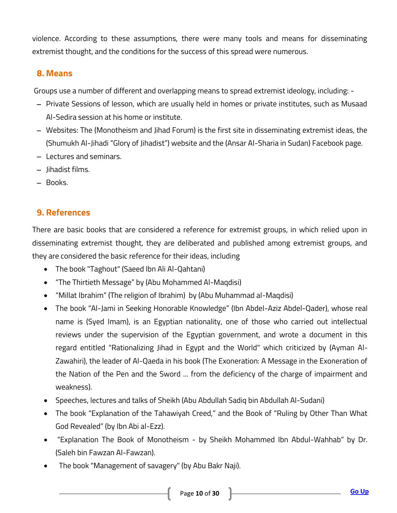violence. According to these assumptions, there were many tools and means for disseminating extremist thought, and the conditions for the success of this spread were numerous.

# <span id="page-9-0"></span>**8. Means**

Groups use a number of different and overlapping means to spread extremist ideology, including: -

- Private Sessions of lesson, which are usually held in homes or private institutes, such as Musaad Al-Sedira session at his home or institute.
- Websites: The (Monotheism and Jihad Forum) is the first site in disseminating extremist ideas, the (Shumukh Al-Jihadi "Glory of Jihadist") website and the (Ansar Al-Sharia in Sudan) Facebook page.
- Lectures and seminars.
- $-$  lihadist films.
- Books.

# <span id="page-9-1"></span>**9. References**

There are basic books that are considered a reference for extremist groups, in which relied upon in disseminating extremist thought, they are deliberated and published among extremist groups, and they are considered the basic reference for their ideas, including

- The book "Taghout" (Saeed Ibn Ali Al-Qahtani)
- "The Thirtieth Message" by (Abu Mohammed Al-Maqdisi)
- "Millat Ibrahim" (The religion of Ibrahim) by (Abu Muhammad al-Maqdisi)
- The book "Al-Jami in Seeking Honorable Knowledge" (Ibn Abdel-Aziz Abdel-Qader), whose real name is (Syed Imam), is an Egyptian nationality, one of those who carried out intellectual reviews under the supervision of the Egyptian government, and wrote a document in this regard entitled "Rationalizing Jihad in Egypt and the World" which criticized by (Ayman Al-Zawahiri), the leader of Al-Qaeda in his book (The Exoneration: A Message in the Exoneration of the Nation of the Pen and the Sword ... from the deficiency of the charge of impairment and weakness).
- Speeches, lectures and talks of Sheikh (Abu Abdullah Sadiq bin Abdullah Al-Sudani)
- The book "Explanation of the Tahawiyah Creed," and the Book of "Ruling by Other Than What God Revealed" (by Ibn Abi al-Ezz).
- "Explanation The Book of Monotheism by Sheikh Mohammed Ibn Abdul-Wahhab" by Dr. (Saleh bin Fawzan Al-Fawzan).
- The book "Management of savagery" (by Abu Bakr Naji).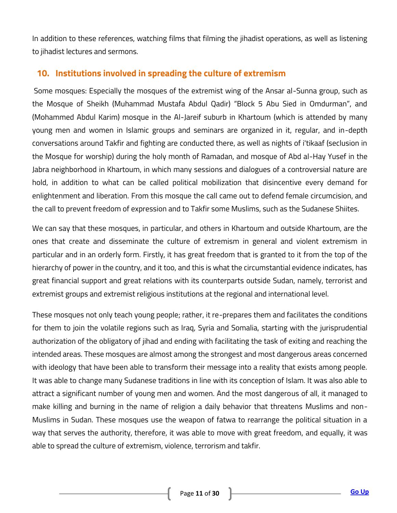In addition to these references, watching films that filming the jihadist operations, as well as listening to jihadist lectures and sermons.

# <span id="page-10-0"></span>**10. Institutions involved in spreading the culture of extremism**

Some mosques: Especially the mosques of the extremist wing of the Ansar al-Sunna group, such as the Mosque of Sheikh (Muhammad Mustafa Abdul Qadir) "Block 5 Abu Sied in Omdurman", and (Mohammed Abdul Karim) mosque in the Al-Jareif suburb in Khartoum (which is attended by many young men and women in Islamic groups and seminars are organized in it, regular, and in-depth conversations around Takfir and fighting are conducted there, as well as nights of i'tikaaf (seclusion in the Mosque for worship) during the holy month of Ramadan, and mosque of Abd al-Hay Yusef in the Jabra neighborhood in Khartoum, in which many sessions and dialogues of a controversial nature are hold, in addition to what can be called political mobilization that disincentive every demand for enlightenment and liberation. From this mosque the call came out to defend female circumcision, and the call to prevent freedom of expression and to Takfir some Muslims, such as the Sudanese Shiites.

We can say that these mosques, in particular, and others in Khartoum and outside Khartoum, are the ones that create and disseminate the culture of extremism in general and violent extremism in particular and in an orderly form. Firstly, it has great freedom that is granted to it from the top of the hierarchy of power in the country, and it too, and this is what the circumstantial evidence indicates, has great financial support and great relations with its counterparts outside Sudan, namely, terrorist and extremist groups and extremist religious institutions at the regional and international level.

These mosques not only teach young people; rather, it re-prepares them and facilitates the conditions for them to join the volatile regions such as Iraq, Syria and Somalia, starting with the jurisprudential authorization of the obligatory of jihad and ending with facilitating the task of exiting and reaching the intended areas. These mosques are almost among the strongest and most dangerous areas concerned with ideology that have been able to transform their message into a reality that exists among people. It was able to change many Sudanese traditions in line with its conception of Islam. It was also able to attract a significant number of young men and women. And the most dangerous of all, it managed to make killing and burning in the name of religion a daily behavior that threatens Muslims and non-Muslims in Sudan. These mosques use the weapon of fatwa to rearrange the political situation in a way that serves the authority, therefore, it was able to move with great freedom, and equally, it was able to spread the culture of extremism, violence, terrorism and takfir.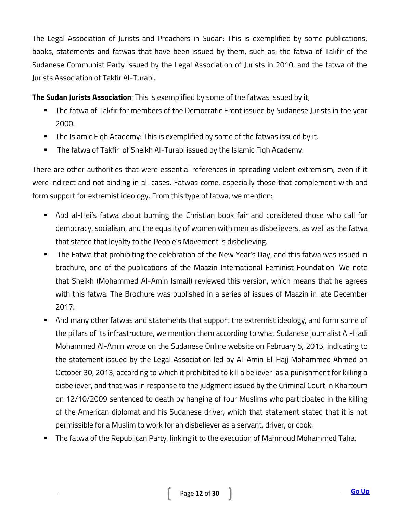The Legal Association of Jurists and Preachers in Sudan: This is exemplified by some publications, books, statements and fatwas that have been issued by them, such as: the fatwa of Takfir of the Sudanese Communist Party issued by the Legal Association of Jurists in 2010, and the fatwa of the Jurists Association of Takfir Al-Turabi.

**The Sudan Jurists Association**: This is exemplified by some of the fatwas issued by it;

- The fatwa of Takfir for members of the Democratic Front issued by Sudanese Jurists in the year 2000.
- **The Islamic Figh Academy: This is exemplified by some of the fatwas issued by it.**
- The fatwa of Takfir of Sheikh Al-Turabi issued by the Islamic Fiqh Academy.

There are other authorities that were essential references in spreading violent extremism, even if it were indirect and not binding in all cases. Fatwas come, especially those that complement with and form support for extremist ideology. From this type of fatwa, we mention:

- Abd al-Hei's fatwa about burning the Christian book fair and considered those who call for democracy, socialism, and the equality of women with men as disbelievers, as well as the fatwa that stated that loyalty to the People's Movement is disbelieving.
- **The Fatwa that prohibiting the celebration of the New Year's Day, and this fatwa was issued in** brochure, one of the publications of the Maazin International Feminist Foundation. We note that Sheikh (Mohammed Al-Amin Ismail) reviewed this version, which means that he agrees with this fatwa. The Brochure was published in a series of issues of Maazin in late December 2017.
- And many other fatwas and statements that support the extremist ideology, and form some of the pillars of its infrastructure, we mention them according to what Sudanese journalist Al-Hadi Mohammed Al-Amin wrote on the Sudanese Online website on February 5, 2015, indicating to the statement issued by the Legal Association led by Al-Amin El-Hajj Mohammed Ahmed on October 30, 2013, according to which it prohibited to kill a believer as a punishment for killing a disbeliever, and that was in response to the judgment issued by the Criminal Court in Khartoum on 12/10/2009 sentenced to death by hanging of four Muslims who participated in the killing of the American diplomat and his Sudanese driver, which that statement stated that it is not permissible for a Muslim to work for an disbeliever as a servant, driver, or cook.
- The fatwa of the Republican Party, linking it to the execution of Mahmoud Mohammed Taha.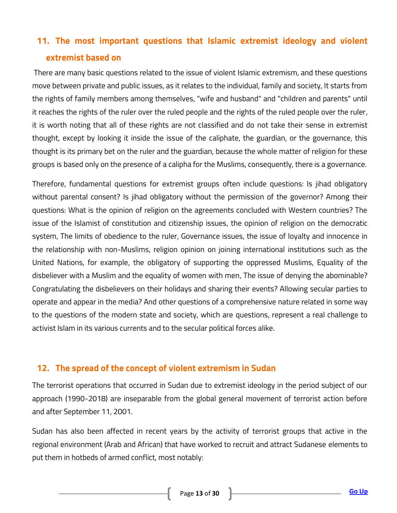# <span id="page-12-0"></span>**11. The most important questions that Islamic extremist ideology and violent extremist based on**

There are many basic questions related to the issue of violent Islamic extremism, and these questions move between private and public issues, as it relates to the individual, family and society, It starts from the rights of family members among themselves, "wife and husband" and "children and parents" until it reaches the rights of the ruler over the ruled people and the rights of the ruled people over the ruler, it is worth noting that all of these rights are not classified and do not take their sense in extremist thought, except by looking it inside the issue of the caliphate, the guardian, or the governance, this thought is its primary bet on the ruler and the guardian, because the whole matter of religion for these groups is based only on the presence of a calipha for the Muslims, consequently, there is a governance.

Therefore, fundamental questions for extremist groups often include questions: Is jihad obligatory without parental consent? Is jihad obligatory without the permission of the governor? Among their questions: What is the opinion of religion on the agreements concluded with Western countries? The issue of the Islamist of constitution and citizenship issues, the opinion of religion on the democratic system, The limits of obedience to the ruler, Governance issues, the issue of loyalty and innocence in the relationship with non-Muslims, religion opinion on joining international institutions such as the United Nations, for example, the obligatory of supporting the oppressed Muslims, Equality of the disbeliever with a Muslim and the equality of women with men, The issue of denying the abominable? Congratulating the disbelievers on their holidays and sharing their events? Allowing secular parties to operate and appear in the media? And other questions of a comprehensive nature related in some way to the questions of the modern state and society, which are questions, represent a real challenge to activist Islam in its various currents and to the secular political forces alike.

#### <span id="page-12-1"></span>**12. The spread of the concept of violent extremism in Sudan**

The terrorist operations that occurred in Sudan due to extremist ideology in the period subject of our approach (1990-2018) are inseparable from the global general movement of terrorist action before and after September 11, 2001.

Sudan has also been affected in recent years by the activity of terrorist groups that active in the regional environment (Arab and African) that have worked to recruit and attract Sudanese elements to put them in hotbeds of armed conflict, most notably: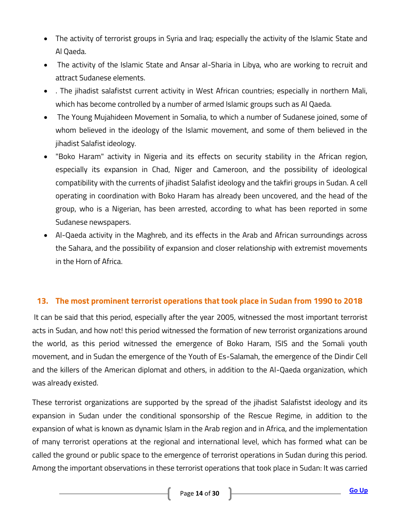- The activity of terrorist groups in Syria and Iraq; especially the activity of the Islamic State and Al Qaeda.
- The activity of the Islamic State and Ansar al-Sharia in Libya, who are working to recruit and attract Sudanese elements.
- . The jihadist salafistst current activity in West African countries; especially in northern Mali, which has become controlled by a number of armed Islamic groups such as Al Qaeda.
- The Young Mujahideen Movement in Somalia, to which a number of Sudanese joined, some of whom believed in the ideology of the Islamic movement, and some of them believed in the jihadist Salafist ideology.
- "Boko Haram" activity in Nigeria and its effects on security stability in the African region, especially its expansion in Chad, Niger and Cameroon, and the possibility of ideological compatibility with the currents of jihadist Salafist ideology and the takfiri groups in Sudan. A cell operating in coordination with Boko Haram has already been uncovered, and the head of the group, who is a Nigerian, has been arrested, according to what has been reported in some Sudanese newspapers.
- Al-Qaeda activity in the Maghreb, and its effects in the Arab and African surroundings across the Sahara, and the possibility of expansion and closer relationship with extremist movements in the Horn of Africa.

#### <span id="page-13-0"></span>**13. The most prominent terrorist operations that took place in Sudan from 1990 to 2018**

It can be said that this period, especially after the year 2005, witnessed the most important terrorist acts in Sudan, and how not! this period witnessed the formation of new terrorist organizations around the world, as this period witnessed the emergence of Boko Haram, ISIS and the Somali youth movement, and in Sudan the emergence of the Youth of Es-Salamah, the emergence of the Dindir Cell and the killers of the American diplomat and others, in addition to the Al-Qaeda organization, which was already existed.

These terrorist organizations are supported by the spread of the jihadist Salafistst ideology and its expansion in Sudan under the conditional sponsorship of the Rescue Regime, in addition to the expansion of what is known as dynamic Islam in the Arab region and in Africa, and the implementation of many terrorist operations at the regional and international level, which has formed what can be called the ground or public space to the emergence of terrorist operations in Sudan during this period. Among the important observations in these terrorist operations that took place in Sudan: It was carried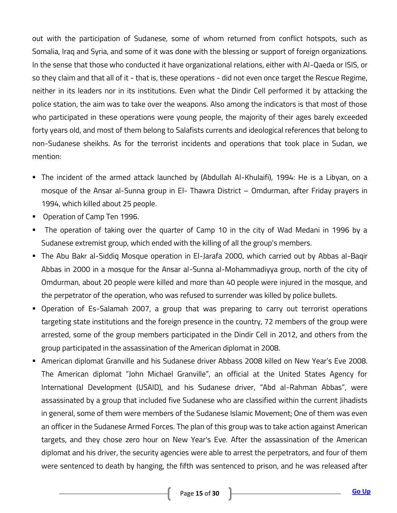out with the participation of Sudanese, some of whom returned from conflict hotspots, such as Somalia, Iraq and Syria, and some of it was done with the blessing or support of foreign organizations. In the sense that those who conducted it have organizational relations, either with Al-Qaeda or ISIS, or so they claim and that all of it - that is, these operations - did not even once target the Rescue Regime, neither in its leaders nor in its institutions. Even what the Dindir Cell performed it by attacking the police station, the aim was to take over the weapons. Also among the indicators is that most of those who participated in these operations were young people, the majority of their ages barely exceeded forty years old, and most of them belong to Salafists currents and ideological references that belong to non-Sudanese sheikhs. As for the terrorist incidents and operations that took place in Sudan, we mention:

- The incident of the armed attack launched by (Abdullah Al-Khulaifi), 1994: He is a Libyan, on a mosque of the Ansar al-Sunna group in El- Thawra District – Omdurman, after Friday prayers in 1994, which killed about 25 people.
- Operation of Camp Ten 1996.
- The operation of taking over the quarter of Camp 10 in the city of Wad Medani in 1996 by a Sudanese extremist group, which ended with the killing of all the group's members.
- The Abu Bakr al-Siddiq Mosque operation in El-Jarafa 2000, which carried out by Abbas al-Baqir Abbas in 2000 in a mosque for the Ansar al-Sunna al-Mohammadiyya group, north of the city of Omdurman, about 20 people were killed and more than 40 people were injured in the mosque, and the perpetrator of the operation, who was refused to surrender was killed by police bullets.
- Operation of Es-Salamah 2007, a group that was preparing to carry out terrorist operations targeting state institutions and the foreign presence in the country, 72 members of the group were arrested, some of the group members participated in the Dindir Cell in 2012, and others from the group participated in the assassination of the American diplomat in 2008.
- American diplomat Granville and his Sudanese driver Abbass 2008 killed on New Year's Eve 2008. The American diplomat "John Michael Granville", an official at the United States Agency for International Development (USAID), and his Sudanese driver, "Abd al-Rahman Abbas", were assassinated by a group that included five Sudanese who are classified within the current Jihadists in general, some of them were members of the Sudanese Islamic Movement; One of them was even an officer in the Sudanese Armed Forces. The plan of this group was to take action against American targets, and they chose zero hour on New Year's Eve. After the assassination of the American diplomat and his driver, the security agencies were able to arrest the perpetrators, and four of them were sentenced to death by hanging, the fifth was sentenced to prison, and he was released after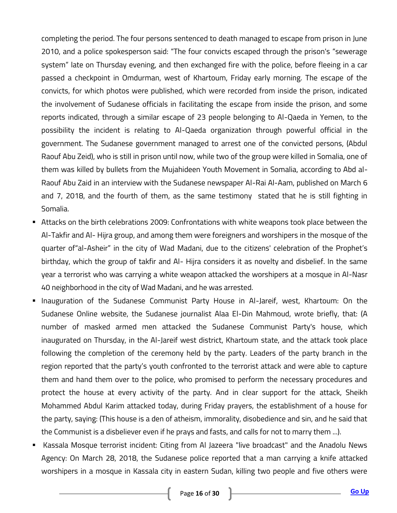completing the period. The four persons sentenced to death managed to escape from prison in June 2010, and a police spokesperson said: "The four convicts escaped through the prison's "sewerage system" late on Thursday evening, and then exchanged fire with the police, before fleeing in a car passed a checkpoint in Omdurman, west of Khartoum, Friday early morning. The escape of the convicts, for which photos were published, which were recorded from inside the prison, indicated the involvement of Sudanese officials in facilitating the escape from inside the prison, and some reports indicated, through a similar escape of 23 people belonging to Al-Qaeda in Yemen, to the possibility the incident is relating to Al-Qaeda organization through powerful official in the government. The Sudanese government managed to arrest one of the convicted persons, (Abdul Raouf Abu Zeid), who is still in prison until now, while two of the group were killed in Somalia, one of them was killed by bullets from the Mujahideen Youth Movement in Somalia, according to Abd al-Raouf Abu Zaid in an interview with the Sudanese newspaper Al-Rai Al-Aam, published on March 6 and 7, 2018, and the fourth of them, as the same testimony stated that he is still fighting in Somalia.

- Attacks on the birth celebrations 2009: Confrontations with white weapons took place between the Al-Takfir and Al- Hijra group, and among them were foreigners and worshipers in the mosque of the quarter of"al-Asheir" in the city of Wad Madani, due to the citizens' celebration of the Prophet's birthday, which the group of takfir and Al- Hijra considers it as novelty and disbelief. In the same year a terrorist who was carrying a white weapon attacked the worshipers at a mosque in Al-Nasr 40 neighborhood in the city of Wad Madani, and he was arrested.
- **Inauguration of the Sudanese Communist Party House in AI-Jareif, west, Khartoum: On the** Sudanese Online website, the Sudanese journalist Alaa El-Din Mahmoud, wrote briefly, that: (A number of masked armed men attacked the Sudanese Communist Party's house, which inaugurated on Thursday, in the Al-Jareif west district, Khartoum state, and the attack took place following the completion of the ceremony held by the party. Leaders of the party branch in the region reported that the party's youth confronted to the terrorist attack and were able to capture them and hand them over to the police, who promised to perform the necessary procedures and protect the house at every activity of the party. And in clear support for the attack, Sheikh Mohammed Abdul Karim attacked today, during Friday prayers, the establishment of a house for the party, saying: (This house is a den of atheism, immorality, disobedience and sin, and he said that the Communist is a disbeliever even if he prays and fasts, and calls for not to marry them ...).
- Kassala Mosque terrorist incident: Citing from Al Jazeera "live broadcast" and the Anadolu News Agency: On March 28, 2018, the Sudanese police reported that a man carrying a knife attacked worshipers in a mosque in Kassala city in eastern Sudan, killing two people and five others were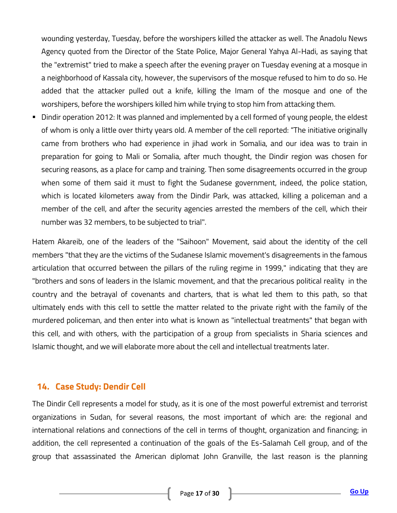wounding yesterday, Tuesday, before the worshipers killed the attacker as well. The Anadolu News Agency quoted from the Director of the State Police, Major General Yahya Al-Hadi, as saying that the "extremist" tried to make a speech after the evening prayer on Tuesday evening at a mosque in a neighborhood of Kassala city, however, the supervisors of the mosque refused to him to do so. He added that the attacker pulled out a knife, killing the Imam of the mosque and one of the worshipers, before the worshipers killed him while trying to stop him from attacking them.

 Dindir operation 2012: It was planned and implemented by a cell formed of young people, the eldest of whom is only a little over thirty years old. A member of the cell reported: "The initiative originally came from brothers who had experience in jihad work in Somalia, and our idea was to train in preparation for going to Mali or Somalia, after much thought, the Dindir region was chosen for securing reasons, as a place for camp and training. Then some disagreements occurred in the group when some of them said it must to fight the Sudanese government, indeed, the police station, which is located kilometers away from the Dindir Park, was attacked, killing a policeman and a member of the cell, and after the security agencies arrested the members of the cell, which their number was 32 members, to be subjected to trial".

Hatem Akareib, one of the leaders of the "Saihoon" Movement, said about the identity of the cell members "that they are the victims of the Sudanese Islamic movement's disagreements in the famous articulation that occurred between the pillars of the ruling regime in 1999," indicating that they are "brothers and sons of leaders in the Islamic movement, and that the precarious political reality in the country and the betrayal of covenants and charters, that is what led them to this path, so that ultimately ends with this cell to settle the matter related to the private right with the family of the murdered policeman, and then enter into what is known as "intellectual treatments" that began with this cell, and with others, with the participation of a group from specialists in Sharia sciences and Islamic thought, and we will elaborate more about the cell and intellectual treatments later.

#### <span id="page-16-0"></span>**14. Case Study: Dendir Cell**

The Dindir Cell represents a model for study, as it is one of the most powerful extremist and terrorist organizations in Sudan, for several reasons, the most important of which are: the regional and international relations and connections of the cell in terms of thought, organization and financing; in addition, the cell represented a continuation of the goals of the Es-Salamah Cell group, and of the group that assassinated the American diplomat John Granville, the last reason is the planning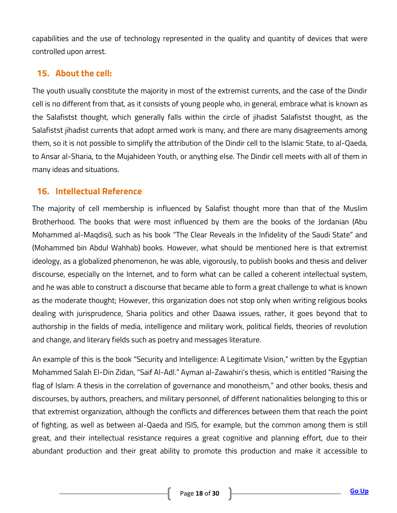capabilities and the use of technology represented in the quality and quantity of devices that were controlled upon arrest.

# <span id="page-17-0"></span>**15. About the cell:**

The youth usually constitute the majority in most of the extremist currents, and the case of the Dindir cell is no different from that, as it consists of young people who, in general, embrace what is known as the Salafistst thought, which generally falls within the circle of jihadist Salafistst thought, as the Salafistst jihadist currents that adopt armed work is many, and there are many disagreements among them, so it is not possible to simplify the attribution of the Dindir cell to the Islamic State, to al-Qaeda, to Ansar al-Sharia, to the Mujahideen Youth, or anything else. The Dindir cell meets with all of them in many ideas and situations.

# <span id="page-17-1"></span>**16. Intellectual Reference**

The majority of cell membership is influenced by Salafist thought more than that of the Muslim Brotherhood. The books that were most influenced by them are the books of the Jordanian (Abu Mohammed al-Maqdisi), such as his book "The Clear Reveals in the Infidelity of the Saudi State" and (Mohammed bin Abdul Wahhab) books. However, what should be mentioned here is that extremist ideology, as a globalized phenomenon, he was able, vigorously, to publish books and thesis and deliver discourse, especially on the Internet, and to form what can be called a coherent intellectual system, and he was able to construct a discourse that became able to form a great challenge to what is known as the moderate thought; However, this organization does not stop only when writing religious books dealing with jurisprudence, Sharia politics and other Daawa issues, rather, it goes beyond that to authorship in the fields of media, intelligence and military work, political fields, theories of revolution and change, and literary fields such as poetry and messages literature.

An example of this is the book "Security and Intelligence: A Legitimate Vision," written by the Egyptian Mohammed Salah El-Din Zidan, "Saif Al-Adl." Ayman al-Zawahiri's thesis, which is entitled "Raising the flag of Islam: A thesis in the correlation of governance and monotheism," and other books, thesis and discourses, by authors, preachers, and military personnel, of different nationalities belonging to this or that extremist organization, although the conflicts and differences between them that reach the point of fighting, as well as between al-Qaeda and ISIS, for example, but the common among them is still great, and their intellectual resistance requires a great cognitive and planning effort, due to their abundant production and their great ability to promote this production and make it accessible to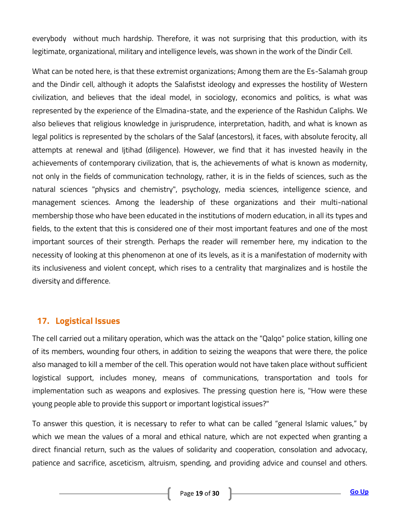everybody without much hardship. Therefore, it was not surprising that this production, with its legitimate, organizational, military and intelligence levels, was shown in the work of the Dindir Cell.

What can be noted here, is that these extremist organizations; Among them are the Es-Salamah group and the Dindir cell, although it adopts the Salafistst ideology and expresses the hostility of Western civilization, and believes that the ideal model, in sociology, economics and politics, is what was represented by the experience of the Elmadina-state, and the experience of the Rashidun Caliphs. We also believes that religious knowledge in jurisprudence, interpretation, hadith, and what is known as legal politics is represented by the scholars of the Salaf (ancestors), it faces, with absolute ferocity, all attempts at renewal and Ijtihad (diligence). However, we find that it has invested heavily in the achievements of contemporary civilization, that is, the achievements of what is known as modernity, not only in the fields of communication technology, rather, it is in the fields of sciences, such as the natural sciences "physics and chemistry", psychology, media sciences, intelligence science, and management sciences. Among the leadership of these organizations and their multi-national membership those who have been educated in the institutions of modern education, in all its types and fields, to the extent that this is considered one of their most important features and one of the most important sources of their strength. Perhaps the reader will remember here, my indication to the necessity of looking at this phenomenon at one of its levels, as it is a manifestation of modernity with its inclusiveness and violent concept, which rises to a centrality that marginalizes and is hostile the diversity and difference.

# <span id="page-18-0"></span>**17. Logistical Issues**

The cell carried out a military operation, which was the attack on the "Qalqo" police station, killing one of its members, wounding four others, in addition to seizing the weapons that were there, the police also managed to kill a member of the cell. This operation would not have taken place without sufficient logistical support, includes money, means of communications, transportation and tools for implementation such as weapons and explosives. The pressing question here is, "How were these young people able to provide this support or important logistical issues?"

To answer this question, it is necessary to refer to what can be called "general Islamic values," by which we mean the values of a moral and ethical nature, which are not expected when granting a direct financial return, such as the values of solidarity and cooperation, consolation and advocacy, patience and sacrifice, asceticism, altruism, spending, and providing advice and counsel and others.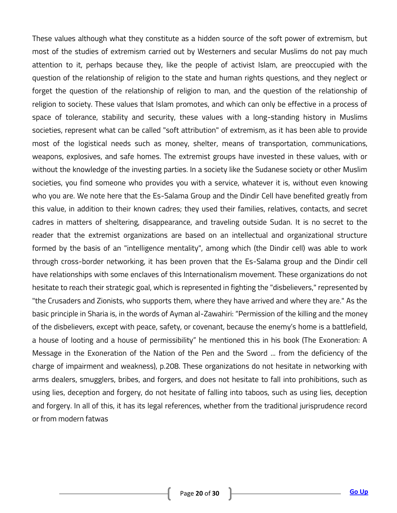These values although what they constitute as a hidden source of the soft power of extremism, but most of the studies of extremism carried out by Westerners and secular Muslims do not pay much attention to it, perhaps because they, like the people of activist Islam, are preoccupied with the question of the relationship of religion to the state and human rights questions, and they neglect or forget the question of the relationship of religion to man, and the question of the relationship of religion to society. These values that Islam promotes, and which can only be effective in a process of space of tolerance, stability and security, these values with a long-standing history in Muslims societies, represent what can be called "soft attribution" of extremism, as it has been able to provide most of the logistical needs such as money, shelter, means of transportation, communications, weapons, explosives, and safe homes. The extremist groups have invested in these values, with or without the knowledge of the investing parties. In a society like the Sudanese society or other Muslim societies, you find someone who provides you with a service, whatever it is, without even knowing who you are. We note here that the Es-Salama Group and the Dindir Cell have benefited greatly from this value, in addition to their known cadres; they used their families, relatives, contacts, and secret cadres in matters of sheltering, disappearance, and traveling outside Sudan. It is no secret to the reader that the extremist organizations are based on an intellectual and organizational structure formed by the basis of an "intelligence mentality", among which (the Dindir cell) was able to work through cross-border networking, it has been proven that the Es-Salama group and the Dindir cell have relationships with some enclaves of this Internationalism movement. These organizations do not hesitate to reach their strategic goal, which is represented in fighting the "disbelievers," represented by "the Crusaders and Zionists, who supports them, where they have arrived and where they are." As the basic principle in Sharia is, in the words of Ayman al-Zawahiri: "Permission of the killing and the money of the disbelievers, except with peace, safety, or covenant, because the enemy's home is a battlefield, a house of looting and a house of permissibility" he mentioned this in his book (The Exoneration: A Message in the Exoneration of the Nation of the Pen and the Sword ... from the deficiency of the charge of impairment and weakness), p.208. These organizations do not hesitate in networking with arms dealers, smugglers, bribes, and forgers, and does not hesitate to fall into prohibitions, such as using lies, deception and forgery, do not hesitate of falling into taboos, such as using lies, deception and forgery. In all of this, it has its legal references, whether from the traditional jurisprudence record or from modern fatwas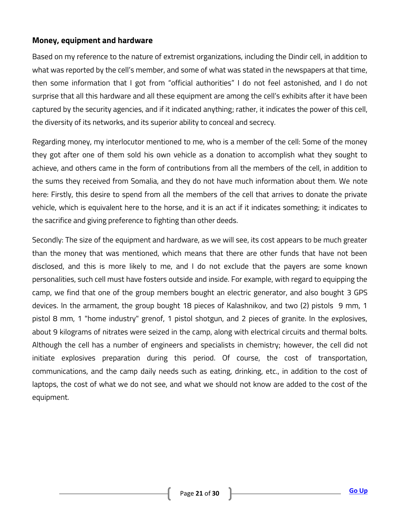#### **Money, equipment and hardware**

Based on my reference to the nature of extremist organizations, including the Dindir cell, in addition to what was reported by the cell's member, and some of what was stated in the newspapers at that time, then some information that I got from "official authorities" I do not feel astonished, and I do not surprise that all this hardware and all these equipment are among the cell's exhibits after it have been captured by the security agencies, and if it indicated anything; rather, it indicates the power of this cell, the diversity of its networks, and its superior ability to conceal and secrecy.

Regarding money, my interlocutor mentioned to me, who is a member of the cell: Some of the money they got after one of them sold his own vehicle as a donation to accomplish what they sought to achieve, and others came in the form of contributions from all the members of the cell, in addition to the sums they received from Somalia, and they do not have much information about them. We note here: Firstly, this desire to spend from all the members of the cell that arrives to donate the private vehicle, which is equivalent here to the horse, and it is an act if it indicates something; it indicates to the sacrifice and giving preference to fighting than other deeds.

Secondly: The size of the equipment and hardware, as we will see, its cost appears to be much greater than the money that was mentioned, which means that there are other funds that have not been disclosed, and this is more likely to me, and I do not exclude that the payers are some known personalities, such cell must have fosters outside and inside. For example, with regard to equipping the camp, we find that one of the group members bought an electric generator, and also bought 3 GPS devices. In the armament, the group bought 18 pieces of Kalashnikov, and two (2) pistols 9 mm, 1 pistol 8 mm, 1 "home industry" grenof, 1 pistol shotgun, and 2 pieces of granite. In the explosives, about 9 kilograms of nitrates were seized in the camp, along with electrical circuits and thermal bolts. Although the cell has a number of engineers and specialists in chemistry; however, the cell did not initiate explosives preparation during this period. Of course, the cost of transportation, communications, and the camp daily needs such as eating, drinking, etc., in addition to the cost of laptops, the cost of what we do not see, and what we should not know are added to the cost of the equipment.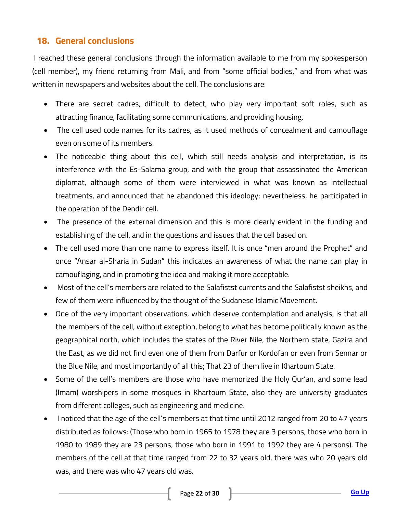# <span id="page-21-0"></span>**18. General conclusions**

I reached these general conclusions through the information available to me from my spokesperson (cell member), my friend returning from Mali, and from "some official bodies," and from what was written in newspapers and websites about the cell. The conclusions are:

- There are secret cadres, difficult to detect, who play very important soft roles, such as attracting finance, facilitating some communications, and providing housing.
- The cell used code names for its cadres, as it used methods of concealment and camouflage even on some of its members.
- The noticeable thing about this cell, which still needs analysis and interpretation, is its interference with the Es-Salama group, and with the group that assassinated the American diplomat, although some of them were interviewed in what was known as intellectual treatments, and announced that he abandoned this ideology; nevertheless, he participated in the operation of the Dendir cell.
- The presence of the external dimension and this is more clearly evident in the funding and establishing of the cell, and in the questions and issues that the cell based on.
- The cell used more than one name to express itself. It is once "men around the Prophet" and once "Ansar al-Sharia in Sudan" this indicates an awareness of what the name can play in camouflaging, and in promoting the idea and making it more acceptable.
- Most of the cell's members are related to the Salafistst currents and the Salafistst sheikhs, and few of them were influenced by the thought of the Sudanese Islamic Movement.
- One of the very important observations, which deserve contemplation and analysis, is that all the members of the cell, without exception, belong to what has become politically known as the geographical north, which includes the states of the River Nile, the Northern state, Gazira and the East, as we did not find even one of them from Darfur or Kordofan or even from Sennar or the Blue Nile, and most importantly of all this; That 23 of them live in Khartoum State.
- Some of the cell's members are those who have memorized the Holy Qur'an, and some lead (Imam) worshipers in some mosques in Khartoum State, also they are university graduates from different colleges, such as engineering and medicine.
- I noticed that the age of the cell's members at that time until 2012 ranged from 20 to 47 years distributed as follows: (Those who born in 1965 to 1978 they are 3 persons, those who born in 1980 to 1989 they are 23 persons, those who born in 1991 to 1992 they are 4 persons). The members of the cell at that time ranged from 22 to 32 years old, there was who 20 years old was, and there was who 47 years old was.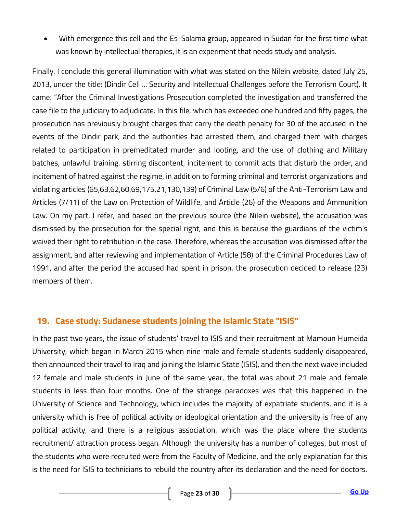With emergence this cell and the Es-Salama group, appeared in Sudan for the first time what was known by intellectual therapies, it is an experiment that needs study and analysis.

Finally, I conclude this general illumination with what was stated on the Nilein website, dated July 25, 2013, under the title: (Dindir Cell ... Security and Intellectual Challenges before the Terrorism Court). It came: "After the Criminal Investigations Prosecution completed the investigation and transferred the case file to the judiciary to adjudicate. In this file, which has exceeded one hundred and fifty pages, the prosecution has previously brought charges that carry the death penalty for 30 of the accused in the events of the Dindir park, and the authorities had arrested them, and charged them with charges related to participation in premeditated murder and looting, and the use of clothing and Military batches, unlawful training, stirring discontent, incitement to commit acts that disturb the order, and incitement of hatred against the regime, in addition to forming criminal and terrorist organizations and violating articles (65,63,62,60,69,175,21,130,139) of Criminal Law (5/6) of the Anti-Terrorism Law and Articles (7/11) of the Law on Protection of Wildlife, and Article (26) of the Weapons and Ammunition Law. On my part, I refer, and based on the previous source (the Nilein website), the accusation was dismissed by the prosecution for the special right, and this is because the guardians of the victim's waived their right to retribution in the case. Therefore, whereas the accusation was dismissed after the assignment, and after reviewing and implementation of Article (58) of the Criminal Procedures Law of 1991, and after the period the accused had spent in prison, the prosecution decided to release (23) members of them.

#### <span id="page-22-0"></span>**19. Case study: Sudanese students joining the Islamic State "ISIS"**

In the past two years, the issue of students' travel to ISIS and their recruitment at Mamoun Humeida University, which began in March 2015 when nine male and female students suddenly disappeared, then announced their travel to Iraq and joining the Islamic State (ISIS), and then the next wave included 12 female and male students in June of the same year, the total was about 21 male and female students in less than four months. One of the strange paradoxes was that this happened in the University of Science and Technology, which includes the majority of expatriate students, and it is a university which is free of political activity or ideological orientation and the university is free of any political activity, and there is a religious association, which was the place where the students recruitment/ attraction process began. Although the university has a number of colleges, but most of the students who were recruited were from the Faculty of Medicine, and the only explanation for this is the need for ISIS to technicians to rebuild the country after its declaration and the need for doctors.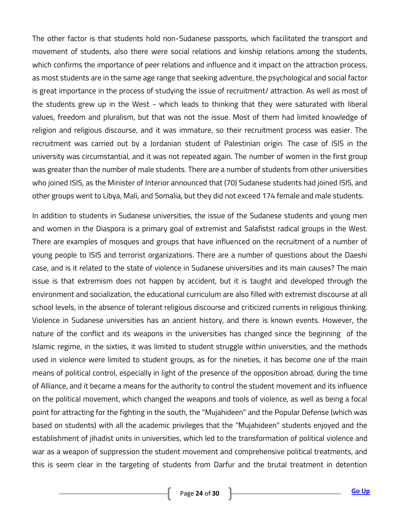The other factor is that students hold non-Sudanese passports, which facilitated the transport and movement of students, also there were social relations and kinship relations among the students, which confirms the importance of peer relations and influence and it impact on the attraction process, as most students are in the same age range that seeking adventure, the psychological and social factor is great importance in the process of studying the issue of recruitment/ attraction. As well as most of the students grew up in the West - which leads to thinking that they were saturated with liberal values, freedom and pluralism, but that was not the issue. Most of them had limited knowledge of religion and religious discourse, and it was immature, so their recruitment process was easier. The recruitment was carried out by a Jordanian student of Palestinian origin. The case of ISIS in the university was circumstantial, and it was not repeated again. The number of women in the first group was greater than the number of male students. There are a number of students from other universities who joined ISIS, as the Minister of Interior announced that (70) Sudanese students had joined ISIS, and other groups went to Libya, Mali, and Somalia, but they did not exceed 174 female and male students.

In addition to students in Sudanese universities, the issue of the Sudanese students and young men and women in the Diaspora is a primary goal of extremist and Salafistst radical groups in the West. There are examples of mosques and groups that have influenced on the recruitment of a number of young people to ISIS and terrorist organizations. There are a number of questions about the Daeshi case, and is it related to the state of violence in Sudanese universities and its main causes? The main issue is that extremism does not happen by accident, but it is taught and developed through the environment and socialization, the educational curriculum are also filled with extremist discourse at all school levels, in the absence of tolerant religious discourse and criticized currents in religious thinking. Violence in Sudanese universities has an ancient history, and there is known events. However, the nature of the conflict and its weapons in the universities has changed since the beginning of the Islamic regime, in the sixties, it was limited to student struggle within universities, and the methods used in violence were limited to student groups, as for the nineties, it has become one of the main means of political control, especially in light of the presence of the opposition abroad, during the time of Alliance, and it became a means for the authority to control the student movement and its influence on the political movement, which changed the weapons and tools of violence, as well as being a focal point for attracting for the fighting in the south, the "Mujahideen" and the Popular Defense (which was based on students) with all the academic privileges that the "Mujahideen" students enjoyed and the establishment of jihadist units in universities, which led to the transformation of political violence and war as a weapon of suppression the student movement and comprehensive political treatments, and this is seem clear in the targeting of students from Darfur and the brutal treatment in detention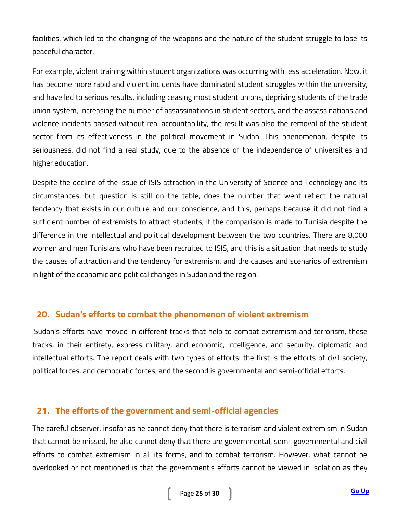facilities, which led to the changing of the weapons and the nature of the student struggle to lose its peaceful character.

For example, violent training within student organizations was occurring with less acceleration. Now, it has become more rapid and violent incidents have dominated student struggles within the university, and have led to serious results, including ceasing most student unions, depriving students of the trade union system, increasing the number of assassinations in student sectors, and the assassinations and violence incidents passed without real accountability, the result was also the removal of the student sector from its effectiveness in the political movement in Sudan. This phenomenon, despite its seriousness, did not find a real study, due to the absence of the independence of universities and higher education.

Despite the decline of the issue of ISIS attraction in the University of Science and Technology and its circumstances, but question is still on the table, does the number that went reflect the natural tendency that exists in our culture and our conscience, and this, perhaps because it did not find a sufficient number of extremists to attract students, if the comparison is made to Tunisia despite the difference in the intellectual and political development between the two countries. There are 8,000 women and men Tunisians who have been recruited to ISIS, and this is a situation that needs to study the causes of attraction and the tendency for extremism, and the causes and scenarios of extremism in light of the economic and political changes in Sudan and the region.

# <span id="page-24-0"></span>**20. Sudan's efforts to combat the phenomenon of violent extremism**

Sudan's efforts have moved in different tracks that help to combat extremism and terrorism, these tracks, in their entirety, express military, and economic, intelligence, and security, diplomatic and intellectual efforts. The report deals with two types of efforts: the first is the efforts of civil society, political forces, and democratic forces, and the second is governmental and semi-official efforts.

# <span id="page-24-1"></span>**21. The efforts of the government and semi-official agencies**

The careful observer, insofar as he cannot deny that there is terrorism and violent extremism in Sudan that cannot be missed, he also cannot deny that there are governmental, semi-governmental and civil efforts to combat extremism in all its forms, and to combat terrorism. However, what cannot be overlooked or not mentioned is that the government's efforts cannot be viewed in isolation as they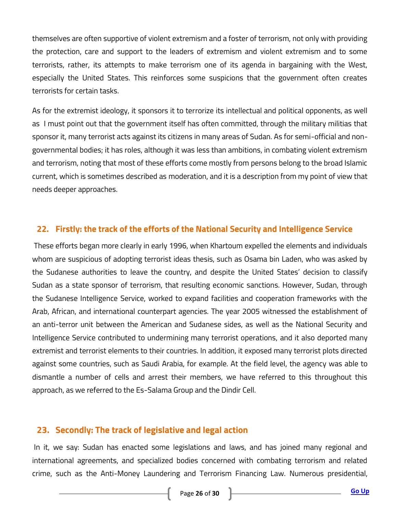themselves are often supportive of violent extremism and a foster of terrorism, not only with providing the protection, care and support to the leaders of extremism and violent extremism and to some terrorists, rather, its attempts to make terrorism one of its agenda in bargaining with the West, especially the United States. This reinforces some suspicions that the government often creates terrorists for certain tasks.

As for the extremist ideology, it sponsors it to terrorize its intellectual and political opponents, as well as I must point out that the government itself has often committed, through the military militias that sponsor it, many terrorist acts against its citizens in many areas of Sudan. As for semi-official and nongovernmental bodies; it has roles, although it was less than ambitions, in combating violent extremism and terrorism, noting that most of these efforts come mostly from persons belong to the broad Islamic current, which is sometimes described as moderation, and it is a description from my point of view that needs deeper approaches.

#### <span id="page-25-0"></span>**22. Firstly: the track of the efforts of the National Security and Intelligence Service**

These efforts began more clearly in early 1996, when Khartoum expelled the elements and individuals whom are suspicious of adopting terrorist ideas thesis, such as Osama bin Laden, who was asked by the Sudanese authorities to leave the country, and despite the United States' decision to classify Sudan as a state sponsor of terrorism, that resulting economic sanctions. However, Sudan, through the Sudanese Intelligence Service, worked to expand facilities and cooperation frameworks with the Arab, African, and international counterpart agencies. The year 2005 witnessed the establishment of an anti-terror unit between the American and Sudanese sides, as well as the National Security and Intelligence Service contributed to undermining many terrorist operations, and it also deported many extremist and terrorist elements to their countries. In addition, it exposed many terrorist plots directed against some countries, such as Saudi Arabia, for example. At the field level, the agency was able to dismantle a number of cells and arrest their members, we have referred to this throughout this approach, as we referred to the Es-Salama Group and the Dindir Cell.

# <span id="page-25-1"></span>**23. Secondly: The track of legislative and legal action**

In it, we say: Sudan has enacted some legislations and laws, and has joined many regional and international agreements, and specialized bodies concerned with combating terrorism and related crime, such as the Anti-Money Laundering and Terrorism Financing Law. Numerous presidential,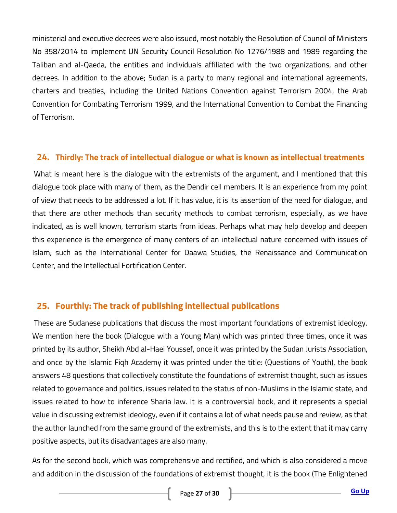ministerial and executive decrees were also issued, most notably the Resolution of Council of Ministers No 358/2014 to implement UN Security Council Resolution No 1276/1988 and 1989 regarding the Taliban and al-Qaeda, the entities and individuals affiliated with the two organizations, and other decrees. In addition to the above; Sudan is a party to many regional and international agreements, charters and treaties, including the United Nations Convention against Terrorism 2004, the Arab Convention for Combating Terrorism 1999, and the International Convention to Combat the Financing of Terrorism.

#### <span id="page-26-0"></span>**24. Thirdly: The track of intellectual dialogue or what is known as intellectual treatments**

What is meant here is the dialogue with the extremists of the argument, and I mentioned that this dialogue took place with many of them, as the Dendir cell members. It is an experience from my point of view that needs to be addressed a lot. If it has value, it is its assertion of the need for dialogue, and that there are other methods than security methods to combat terrorism, especially, as we have indicated, as is well known, terrorism starts from ideas. Perhaps what may help develop and deepen this experience is the emergence of many centers of an intellectual nature concerned with issues of Islam, such as the International Center for Daawa Studies, the Renaissance and Communication Center, and the Intellectual Fortification Center.

# <span id="page-26-1"></span>**25. Fourthly: The track of publishing intellectual publications**

These are Sudanese publications that discuss the most important foundations of extremist ideology. We mention here the book (Dialogue with a Young Man) which was printed three times, once it was printed by its author, Sheikh Abd al-Haei Youssef, once it was printed by the Sudan Jurists Association, and once by the Islamic Fiqh Academy it was printed under the title: (Questions of Youth), the book answers 48 questions that collectively constitute the foundations of extremist thought, such as issues related to governance and politics, issues related to the status of non-Muslims in the Islamic state, and issues related to how to inference Sharia law. It is a controversial book, and it represents a special value in discussing extremist ideology, even if it contains a lot of what needs pause and review, as that the author launched from the same ground of the extremists, and this is to the extent that it may carry positive aspects, but its disadvantages are also many.

As for the second book, which was comprehensive and rectified, and which is also considered a move and addition in the discussion of the foundations of extremist thought, it is the book (The Enlightened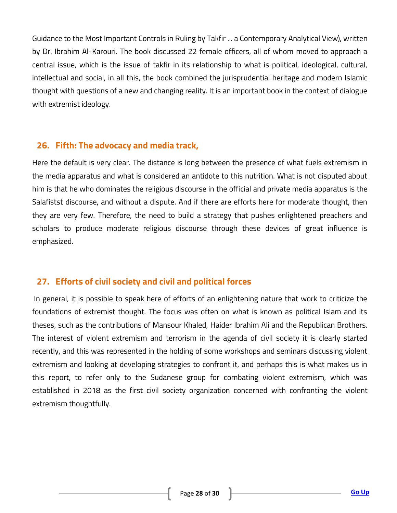Guidance to the Most Important Controls in Ruling by Takfir ... a Contemporary Analytical View), written by Dr. Ibrahim Al-Karouri. The book discussed 22 female officers, all of whom moved to approach a central issue, which is the issue of takfir in its relationship to what is political, ideological, cultural, intellectual and social, in all this, the book combined the jurisprudential heritage and modern Islamic thought with questions of a new and changing reality. It is an important book in the context of dialogue with extremist ideology.

#### <span id="page-27-0"></span>**26. Fifth: The advocacy and media track,**

Here the default is very clear. The distance is long between the presence of what fuels extremism in the media apparatus and what is considered an antidote to this nutrition. What is not disputed about him is that he who dominates the religious discourse in the official and private media apparatus is the Salafistst discourse, and without a dispute. And if there are efforts here for moderate thought, then they are very few. Therefore, the need to build a strategy that pushes enlightened preachers and scholars to produce moderate religious discourse through these devices of great influence is emphasized.

#### <span id="page-27-1"></span>**27. Efforts of civil society and civil and political forces**

In general, it is possible to speak here of efforts of an enlightening nature that work to criticize the foundations of extremist thought. The focus was often on what is known as political Islam and its theses, such as the contributions of Mansour Khaled, Haider Ibrahim Ali and the Republican Brothers. The interest of violent extremism and terrorism in the agenda of civil society it is clearly started recently, and this was represented in the holding of some workshops and seminars discussing violent extremism and looking at developing strategies to confront it, and perhaps this is what makes us in this report, to refer only to the Sudanese group for combating violent extremism, which was established in 2018 as the first civil society organization concerned with confronting the violent extremism thoughtfully.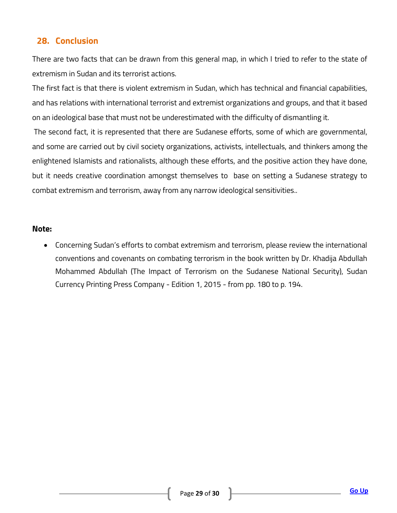# <span id="page-28-0"></span>**28. Conclusion**

There are two facts that can be drawn from this general map, in which I tried to refer to the state of extremism in Sudan and its terrorist actions.

The first fact is that there is violent extremism in Sudan, which has technical and financial capabilities, and has relations with international terrorist and extremist organizations and groups, and that it based on an ideological base that must not be underestimated with the difficulty of dismantling it.

The second fact, it is represented that there are Sudanese efforts, some of which are governmental, and some are carried out by civil society organizations, activists, intellectuals, and thinkers among the enlightened Islamists and rationalists, although these efforts, and the positive action they have done, but it needs creative coordination amongst themselves to base on setting a Sudanese strategy to combat extremism and terrorism, away from any narrow ideological sensitivities..

#### **Note:**

 Concerning Sudan's efforts to combat extremism and terrorism, please review the international conventions and covenants on combating terrorism in the book written by Dr. Khadija Abdullah Mohammed Abdullah (The Impact of Terrorism on the Sudanese National Security), Sudan Currency Printing Press Company - Edition 1, 2015 - from pp. 180 to p. 194.